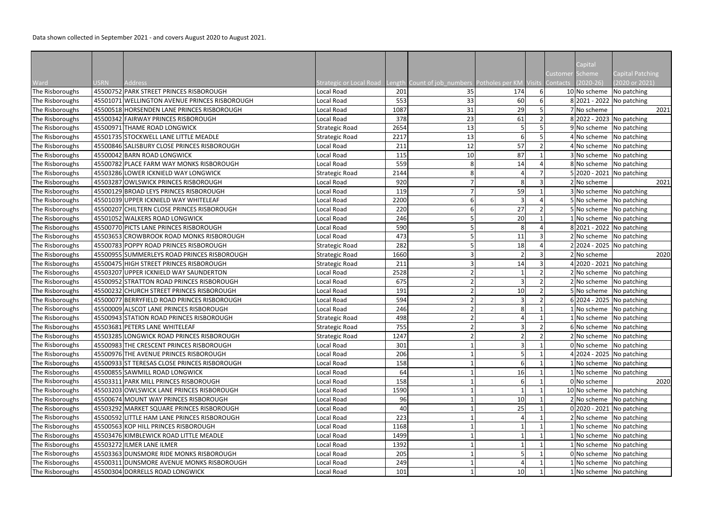|                 |             |                                               |                                |      |                                                             |                         |          | Capital               |                                           |
|-----------------|-------------|-----------------------------------------------|--------------------------------|------|-------------------------------------------------------------|-------------------------|----------|-----------------------|-------------------------------------------|
| Ward            | <b>USRN</b> | <b>Address</b>                                | <b>Strategic or Local Road</b> |      | Length Count of job_numbers Potholes per KM Visits Contacts |                         | Customer | Scheme<br>$(2020-26)$ | <b>Capital Patching</b><br>(2020 or 2021) |
| The Risboroughs |             | 45500752 PARK STREET PRINCES RISBOROUGH       | Local Road                     | 201  | 35                                                          | 174                     |          |                       | 10 No scheme No patching                  |
| The Risboroughs |             | 45501071 WELLINGTON AVENUE PRINCES RISBOROUGH | Local Road                     | 553  | 33                                                          | 60                      |          |                       | 8 2021 - 2022 No patching                 |
| The Risboroughs |             | 45500518 HORSENDEN LANE PRINCES RISBOROUGH    | Local Road                     | 1087 | 31                                                          | 29                      |          | 7 No scheme           | 2021                                      |
| The Risboroughs |             | 45500342 FAIRWAY PRINCES RISBOROUGH           | Local Road                     | 378  | 23                                                          | 61                      |          |                       | 8 2022 - 2023 No patching                 |
| The Risboroughs |             | 45500971 THAME ROAD LONGWICK                  | <b>Strategic Road</b>          | 2654 | 13                                                          | 5                       |          |                       | 9 No scheme No patching                   |
| The Risboroughs |             | 45501735 STOCKWELL LANE LITTLE MEADLE         | <b>Strategic Road</b>          | 2217 | 13                                                          | 6                       |          |                       | 4 No scheme No patching                   |
| The Risboroughs |             | 45500846 SALISBURY CLOSE PRINCES RISBOROUGH   | Local Road                     | 211  | 12                                                          | 57                      |          |                       | 4 No scheme No patching                   |
| The Risboroughs |             | 45500042 BARN ROAD LONGWICK                   | Local Road                     | 115  | 10                                                          | 87                      |          |                       | 3 No scheme No patching                   |
| The Risboroughs |             | 45500782 PLACE FARM WAY MONKS RISBOROUGH      | Local Road                     | 559  | 8                                                           | 14                      |          |                       | 8 No scheme No patching                   |
| The Risboroughs |             | 45503286 LOWER ICKNIELD WAY LONGWICK          | <b>Strategic Road</b>          | 2144 | 8                                                           |                         |          |                       | 5 2020 - 2021 No patching                 |
| The Risboroughs |             | 45503287 OWLSWICK PRINCES RISBOROUGH          | Local Road                     | 920  |                                                             | 8                       |          | 2 No scheme           | 2021                                      |
| The Risboroughs |             | 45500129 BROAD LEYS PRINCES RISBOROUGH        | Local Road                     | 119  |                                                             | 59                      |          |                       | 3 No scheme No patching                   |
| The Risboroughs |             | 45501039 UPPER ICKNIELD WAY WHITELEAF         | Local Road                     | 2200 | 6                                                           | 3 <sup>1</sup>          |          |                       | 5 No scheme No patching                   |
| The Risboroughs |             | 45500207 CHILTERN CLOSE PRINCES RISBOROUGH    | Local Road                     | 220  | 6                                                           | 27                      |          |                       | 5 No scheme No patching                   |
| The Risboroughs |             | 45501052 WALKERS ROAD LONGWICK                | Local Road                     | 246  |                                                             | 20                      |          |                       | No scheme   No patching                   |
| The Risboroughs |             | 45500770 PICTS LANE PRINCES RISBOROUGH        | Local Road                     | 590  |                                                             | 8 <sup>l</sup>          |          |                       | 8 2021 - 2022 No patching                 |
| The Risboroughs |             | 45503653 CROWBROOK ROAD MONKS RISBOROUGH      | Local Road                     | 473  |                                                             | 11                      |          |                       | No scheme No patching                     |
| The Risboroughs |             | 45500783 POPPY ROAD PRINCES RISBOROUGH        | <b>Strategic Road</b>          | 282  |                                                             | 18                      |          |                       | 2 2024 - 2025 No patching                 |
| The Risboroughs |             | 45500955 SUMMERLEYS ROAD PRINCES RISBOROUGH   | <b>Strategic Road</b>          | 1660 | 3                                                           | $\overline{2}$          |          | 2 No scheme           | 2020                                      |
| The Risboroughs |             | 45500475 HIGH STREET PRINCES RISBOROUGH       | <b>Strategic Road</b>          | 211  | $\mathbf{3}$                                                | 14                      |          |                       | 4 2020 - 2021 No patching                 |
| The Risboroughs |             | 45503207 UPPER ICKNIELD WAY SAUNDERTON        | Local Road                     | 2528 | $\overline{2}$                                              |                         |          |                       | 2 No scheme   No patching                 |
| The Risboroughs |             | 45500952 STRATTON ROAD PRINCES RISBOROUGH     | Local Road                     | 675  |                                                             | 3                       |          |                       | 2 No scheme No patching                   |
| The Risboroughs |             | 45500232 CHURCH STREET PRINCES RISBOROUGH     | Local Road                     | 191  |                                                             | 10                      |          |                       | 5 No scheme No patching                   |
| The Risboroughs |             | 45500077 BERRYFIELD ROAD PRINCES RISBOROUGH   | Local Road                     | 594  |                                                             | 3                       |          |                       | 6 2024 - 2025 No patching                 |
| The Risboroughs |             | 45500009 ALSCOT LANE PRINCES RISBOROUGH       | Local Road                     | 246  |                                                             | 8 <sup>l</sup>          |          |                       | No scheme No patching                     |
| The Risboroughs |             | 45500943 STATION ROAD PRINCES RISBOROUGH      | <b>Strategic Road</b>          | 498  | $\overline{2}$                                              |                         |          |                       | 1 No scheme No patching                   |
| The Risboroughs |             | 45503681 PETERS LANE WHITELEAF                | Strategic Road                 | 755  | $\overline{2}$                                              | $\overline{\mathbf{3}}$ |          |                       | 6 No scheme No patching                   |
| The Risboroughs |             | 45503285 LONGWICK ROAD PRINCES RISBOROUGH     | <b>Strategic Road</b>          | 1247 |                                                             |                         |          |                       | 2 No scheme No patching                   |
| The Risboroughs |             | 45500983 THE CRESCENT PRINCES RISBOROUGH      | Local Road                     | 301  |                                                             |                         |          |                       | 0 No scheme No patching                   |
| The Risboroughs |             | 45500976 THE AVENUE PRINCES RISBOROUGH        | Local Road                     | 206  |                                                             |                         |          |                       | 4 2024 - 2025 No patching                 |
| The Risboroughs |             | 45500933 ST TERESAS CLOSE PRINCES RISBOROUGH  | Local Road                     | 158  |                                                             | 6                       |          |                       | $1$ No scheme No patching                 |
| The Risboroughs |             | 45500855 SAWMILL ROAD LONGWICK                | Local Road                     | 64   |                                                             | 16                      |          |                       | $1$ No scheme No patching                 |
| The Risboroughs |             | 45503311 PARK MILL PRINCES RISBOROUGH         | Local Road                     | 158  |                                                             |                         |          | 0 No scheme           | 2020                                      |
| The Risboroughs |             | 45503203 OWLSWICK LANE PRINCES RISBOROUGH     | Local Road                     | 1590 |                                                             |                         |          |                       | 10 No scheme No patching                  |
| The Risboroughs |             | 45500674 MOUNT WAY PRINCES RISBOROUGH         | Local Road                     | 96   |                                                             | 10                      |          |                       | 2 No scheme No patching                   |
| The Risboroughs |             | 45503292 MARKET SQUARE PRINCES RISBOROUGH     | Local Road                     | 40   |                                                             | 25                      |          |                       | 0 2020 - 2021 No patching                 |
| The Risboroughs |             | 45500592 LITTLE HAM LANE PRINCES RISBOROUGH   | Local Road                     | 223  |                                                             |                         |          |                       | 2 No scheme No patching                   |
| The Risboroughs |             | 45500563 KOP HILL PRINCES RISBOROUGH          | Local Road                     | 1168 |                                                             |                         |          | No scheme             | No patching                               |
| The Risboroughs |             | 45503476 KIMBLEWICK ROAD LITTLE MEADLE        | Local Road                     | 1499 |                                                             |                         |          |                       | 1 No scheme No patching                   |
| The Risboroughs |             | 45503272 ILMER LANE ILMER                     | Local Road                     | 1392 |                                                             |                         |          |                       | No scheme No patching                     |
| The Risboroughs |             | 45503363 DUNSMORE RIDE MONKS RISBOROUGH       | Local Road                     | 205  |                                                             |                         |          | 0 No scheme           | No patching                               |
| The Risboroughs |             | 45500311 DUNSMORE AVENUE MONKS RISBOROUGH     | Local Road                     | 249  |                                                             |                         |          | No scheme             | No patching                               |
| The Risboroughs |             | 45500304 DORRELLS ROAD LONGWICK               | Local Road                     | 101  |                                                             | 10                      |          |                       | 1 No scheme No patching                   |